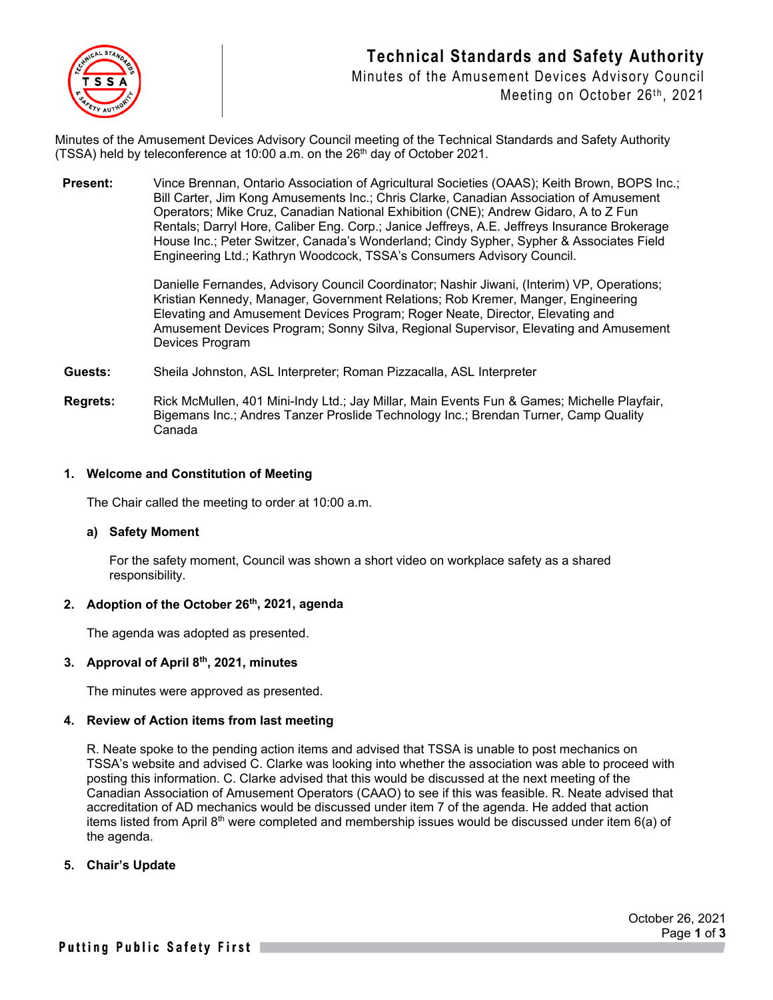## **Technical Standards and Safety Authority**



Minutes of the Amusement Devices Advisory Council Meeting on October 26th, 2021

Minutes of the Amusement Devices Advisory Council meeting of the Technical Standards and Safety Authority  $(TSSA)$  held by teleconference at 10:00 a.m. on the 26<sup>th</sup> day of October 2021.

**Present:** Vince Brennan, Ontario Association of Agricultural Societies (OAAS): Keith Brown, BOPS Inc.: Bill Carter, Jim Kong Amusements Inc.; Chris Clarke, Canadian Association of Amusement Operators; Mike Cruz, Canadian National Exhibition (CNE); Andrew Gidaro, A to Z Fun Rentals; Darryl Hore, Caliber Eng. Corp.; Janice Jeffreys, A.E. Jeffreys Insurance Brokerage House Inc.; Peter Switzer, Canada's Wonderland; Cindy Sypher, Sypher & Associates Field Engineering Ltd.; Kathryn Woodcock, TSSA's Consumers Advisory Council.

> Danielle Fernandes, Advisory Council Coordinator; Nashir Jiwani, (Interim) VP, Operations; Kristian Kennedy, Manager, Government Relations; Rob Kremer, Manger, Engineering Elevating and Amusement Devices Program; Roger Neate, Director, Elevating and Amusement Devices Program; Sonny Silva, Regional Supervisor, Elevating and Amusement Devices Program

**Guests:** Sheila Johnston, ASL Interpreter; Roman Pizzacalla, ASL Interpreter

**Regrets:** Rick McMullen, 401 Mini-Indy Ltd.; Jay Millar, Main Events Fun & Games; Michelle Playfair, Bigemans Inc.; Andres Tanzer Proslide Technology Inc.; Brendan Turner, Camp Quality Canada

## **1. Welcome and Constitution of Meeting**

The Chair called the meeting to order at 10:00 a.m.

### **a) Safety Moment**

For the safety moment, Council was shown a short video on workplace safety as a shared responsibility.

## **2. Adoption of the October 26th, 2021, agenda**

The agenda was adopted as presented.

## **3. Approval of April 8th, 2021, minutes**

The minutes were approved as presented.

### **4. Review of Action items from last meeting**

R. Neate spoke to the pending action items and advised that TSSA is unable to post mechanics on TSSA's website and advised C. Clarke was looking into whether the association was able to proceed with posting this information. C. Clarke advised that this would be discussed at the next meeting of the Canadian Association of Amusement Operators (CAAO) to see if this was feasible. R. Neate advised that accreditation of AD mechanics would be discussed under item 7 of the agenda. He added that action items listed from April 8<sup>th</sup> were completed and membership issues would be discussed under item  $6(a)$  of the agenda.

### **5. Chair's Update**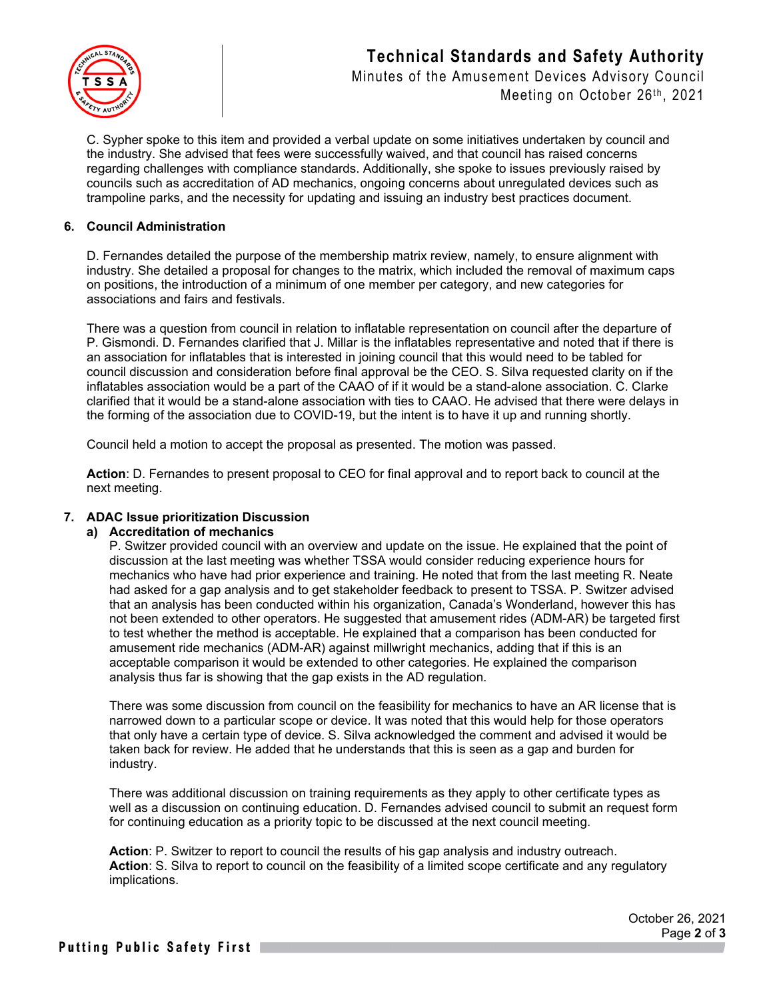# **Technical Standards and Safety Authority** Minutes of the Amusement Devices Advisory Council



Meeting on October 26th, 2021

C. Sypher spoke to this item and provided a verbal update on some initiatives undertaken by council and the industry. She advised that fees were successfully waived, and that council has raised concerns regarding challenges with compliance standards. Additionally, she spoke to issues previously raised by councils such as accreditation of AD mechanics, ongoing concerns about unregulated devices such as trampoline parks, and the necessity for updating and issuing an industry best practices document.

## **6. Council Administration**

D. Fernandes detailed the purpose of the membership matrix review, namely, to ensure alignment with industry. She detailed a proposal for changes to the matrix, which included the removal of maximum caps on positions, the introduction of a minimum of one member per category, and new categories for associations and fairs and festivals.

There was a question from council in relation to inflatable representation on council after the departure of P. Gismondi. D. Fernandes clarified that J. Millar is the inflatables representative and noted that if there is an association for inflatables that is interested in joining council that this would need to be tabled for council discussion and consideration before final approval be the CEO. S. Silva requested clarity on if the inflatables association would be a part of the CAAO of if it would be a stand-alone association. C. Clarke clarified that it would be a stand-alone association with ties to CAAO. He advised that there were delays in the forming of the association due to COVID-19, but the intent is to have it up and running shortly.

Council held a motion to accept the proposal as presented. The motion was passed.

**Action**: D. Fernandes to present proposal to CEO for final approval and to report back to council at the next meeting.

## **7. ADAC Issue prioritization Discussion**

## **a) Accreditation of mechanics**

P. Switzer provided council with an overview and update on the issue. He explained that the point of discussion at the last meeting was whether TSSA would consider reducing experience hours for mechanics who have had prior experience and training. He noted that from the last meeting R. Neate had asked for a gap analysis and to get stakeholder feedback to present to TSSA. P. Switzer advised that an analysis has been conducted within his organization, Canada's Wonderland, however this has not been extended to other operators. He suggested that amusement rides (ADM-AR) be targeted first to test whether the method is acceptable. He explained that a comparison has been conducted for amusement ride mechanics (ADM-AR) against millwright mechanics, adding that if this is an acceptable comparison it would be extended to other categories. He explained the comparison analysis thus far is showing that the gap exists in the AD regulation.

There was some discussion from council on the feasibility for mechanics to have an AR license that is narrowed down to a particular scope or device. It was noted that this would help for those operators that only have a certain type of device. S. Silva acknowledged the comment and advised it would be taken back for review. He added that he understands that this is seen as a gap and burden for industry.

There was additional discussion on training requirements as they apply to other certificate types as well as a discussion on continuing education. D. Fernandes advised council to submit an request form for continuing education as a priority topic to be discussed at the next council meeting.

**Action**: P. Switzer to report to council the results of his gap analysis and industry outreach. **Action**: S. Silva to report to council on the feasibility of a limited scope certificate and any regulatory implications.